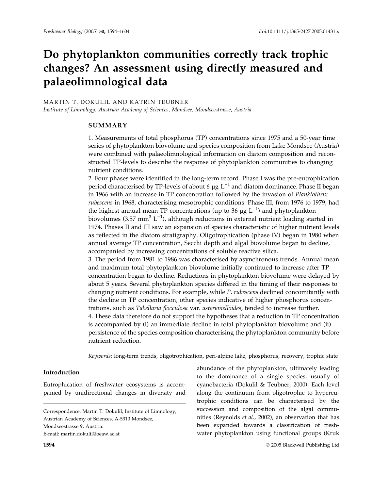## Do phytoplankton communities correctly track trophic changes? An assessment using directly measured and palaeolimnological data

MARTIN T. DOKULIL AND KATRIN TEUBNER

Institute of Limnology, Austrian Academy of Sciences, Mondsee, Mondseestrasse, Austria

## SUMMARY

1. Measurements of total phosphorus (TP) concentrations since 1975 and a 50-year time series of phytoplankton biovolume and species composition from Lake Mondsee (Austria) were combined with palaeolimnological information on diatom composition and reconstructed TP-levels to describe the response of phytoplankton communities to changing nutrient conditions.

2. Four phases were identified in the long-term record. Phase I was the pre-eutrophication period characterised by TP-levels of about 6  $\mu$ g L<sup>-1</sup> and diatom dominance. Phase II began in 1966 with an increase in TP concentration followed by the invasion of Planktothrix rubescens in 1968, characterising mesotrophic conditions. Phase III, from 1976 to 1979, had the highest annual mean TP concentrations (up to 36  $\mu$ g L<sup>-1</sup>) and phytoplankton biovolumes (3.57 mm<sup>3</sup> L<sup>-1</sup>), although reductions in external nutrient loading started in 1974. Phases II and III saw an expansion of species characteristic of higher nutrient levels as reflected in the diatom stratigraphy. Oligotrophication (phase IV) began in 1980 when annual average TP concentration, Secchi depth and algal biovolume began to decline, accompanied by increasing concentrations of soluble reactive silica.

3. The period from 1981 to 1986 was characterised by asynchronous trends. Annual mean and maximum total phytoplankton biovolume initially continued to increase after TP concentration began to decline. Reductions in phytoplankton biovolume were delayed by about 5 years. Several phytoplankton species differed in the timing of their responses to changing nutrient conditions. For example, while P. rubescens declined concomitantly with the decline in TP concentration, other species indicative of higher phosphorus concentrations, such as Tabellaria flocculosa var. asterionelloides, tended to increase further. 4. These data therefore do not support the hypotheses that a reduction in TP concentration is accompanied by (i) an immediate decline in total phytoplankton biovolume and (ii) persistence of the species composition characterising the phytoplankton community before nutrient reduction.

Keywords: long-term trends, oligotrophication, peri-alpine lake, phosphorus, recovery, trophic state

## Introduction

Eutrophication of freshwater ecosystems is accompanied by unidirectional changes in diversity and

Correspondence: Martin T. Dokulil, Institute of Limnology, Austrian Academy of Sciences, A-5310 Mondsee, Mondseestrasse 9, Austria. E-mail: martin.dokulil@oeaw.ac.at

abundance of the phytoplankton, ultimately leading to the dominance of a single species, usually of cyanobacteria (Dokulil & Teubner, 2000). Each level along the continuum from oligotrophic to hypereutrophic conditions can be characterised by the succession and composition of the algal communities (Reynolds et al., 2002), an observation that has been expanded towards a classification of freshwater phytoplankton using functional groups (Kruk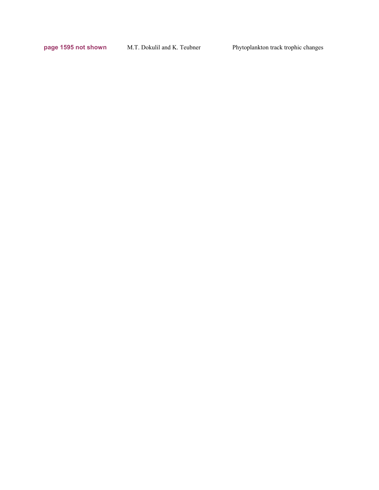**page 1595 not shown** M.T. Dokulil and K. Teubner Phytoplankton track trophic changes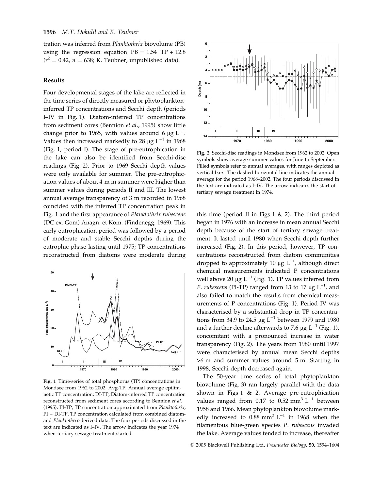tration was inferred from Planktothrix biovolume (PB) using the regression equation  $PB = 1.54 TP + 12.8$  $(r^2 = 0.42, n = 638; K$ . Teubner, unpublished data).

## Results

Four developmental stages of the lake are reflected in the time series of directly measured or phytoplanktoninferred TP concentrations and Secchi depth (periods I–IV in Fig. 1). Diatom-inferred TP concentrations from sediment cores (Bennion et al., 1995) show little change prior to 1965, with values around 6  $\mu$ g L<sup>-1</sup>. Values then increased markedly to 28  $\mu$ g L<sup>-1</sup> in 1968 (Fig. 1, period I). The stage of pre-eutrophication in the lake can also be identified from Secchi-disc readings (Fig. 2). Prior to 1969 Secchi depth values were only available for summer. The pre-eutrophication values of about 4 m in summer were higher than summer values during periods II and III. The lowest annual average transparency of 3 m recorded in 1968 coincided with the inferred TP concentration peak in Fig. 1 and the first appearance of Planktothrix rubescens (DC ex. Gom) Anagn. et Kom. (Findenegg, 1969). This early eutrophication period was followed by a period of moderate and stable Secchi depths during the eutrophic phase lasting until 1975; TP concentrations reconstructed from diatoms were moderate during



Fig. 1 Time-series of total phosphorus (TP) concentrations in Mondsee from 1962 to 2002. Avg-TP, Annual average epilimnetic TP concentration; DI-TP, Diatom-inferred TP concentration reconstructed from sediment cores according to Bennion et al. (1995); PI-TP, TP concentration approximated from Planktothrix; PI + DI-TP, TP concentration calculated from combined diatomand Planktothrix-derived data. The four periods discussed in the text are indicated as I–IV. The arrow indicates the year 1974 when tertiary sewage treatment started.



Fig. 2 Secchi-disc readings in Mondsee from 1962 to 2002. Open symbols show average summer values for June to September. Filled symbols refer to annual averages, with ranges depicted as vertical bars. The dashed horizontal line indicates the annual average for the period 1968–2002. The four periods discussed in the text are indicated as I–IV. The arrow indicates the start of tertiary sewage treatment in 1974.

this time (period II in Figs  $1 \& 2$ ). The third period began in 1976 with an increase in mean annual Secchi depth because of the start of tertiary sewage treatment. It lasted until 1980 when Secchi depth further increased (Fig. 2). In this period, however, TP concentrations reconstructed from diatom communities dropped to approximately 10  $\mu$ g L<sup>-1</sup>, although direct chemical measurements indicated P concentrations well above 20  $\mu$ g L<sup>-1</sup> (Fig. 1). TP values inferred from *P. rubescens* (PI-TP) ranged from 13 to 17  $\mu$ g L<sup>-1</sup>, and also failed to match the results from chemical measurements of P concentrations (Fig. 1). Period IV was characterised by a substantial drop in TP concentrations from 34.9 to 24.5  $\mu$ g L<sup>-1</sup> between 1979 and 1980 and a further decline afterwards to 7.6  $\mu$ g L<sup>-1</sup> (Fig. 1), concomitant with a pronounced increase in water transparency (Fig. 2). The years from 1980 until 1997 were characterised by annual mean Secchi depths >6 m and summer values around 5 m. Starting in 1998, Secchi depth decreased again.

The 50-year time series of total phytoplankton biovolume (Fig. 3) ran largely parallel with the data shown in Figs 1 & 2. Average pre-eutrophication values ranged from 0.17 to 0.52 mm<sup>3</sup>  $L^{-1}$  between 1958 and 1966. Mean phytoplankton biovolume markedly increased to  $0.88$  mm<sup>3</sup> L<sup>-1</sup> in 1968 when the filamentous blue-green species P. rubescens invaded the lake. Average values tended to increase, thereafter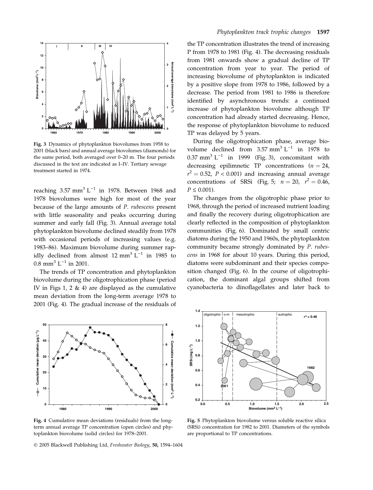

Fig. 3 Dynamics of phytoplankton biovolumes from 1958 to 2001 (black bars) and annual average biovolumes (diamonds) for the same period, both averaged over 0–20 m. The four periods discussed in the text are indicated as I–IV. Tertiary sewage treatment started in 1974.

reaching  $3.57$  mm<sup>3</sup> L<sup>-1</sup> in 1978. Between 1968 and 1978 biovolumes were high for most of the year because of the large amounts of P. rubescens present with little seasonality and peaks occurring during summer and early fall (Fig. 3). Annual average total phytoplankton biovolume declined steadily from 1978 with occasional periods of increasing values (e.g. 1983–86). Maximum biovolume during summer rapidly declined from almost 12 mm<sup>3</sup>  $L^{-1}$  in 1985 to  $0.8$  mm<sup>3</sup> L<sup>-1</sup> in 2001.

The trends of TP concentration and phytoplankton biovolume during the oligotrophication phase (period IV in Figs 1, 2  $\&$  4) are displayed as the cumulative mean deviation from the long-term average 1978 to 2001 (Fig. 4). The gradual increase of the residuals of



Fig. 4 Cumulative mean deviations (residuals) from the longterm annual average TP concentration (open circles) and phytoplankton biovolume (solid circles) for 1978–2001.

2005 Blackwell Publishing Ltd, Freshwater Biology, 50, 1594–1604

the TP concentration illustrates the trend of increasing P from 1978 to 1981 (Fig. 4). The decreasing residuals from 1981 onwards show a gradual decline of TP concentration from year to year. The period of increasing biovolume of phytoplankton is indicated by a positive slope from 1978 to 1986, followed by a decrease. The period from 1981 to 1986 is therefore identified by asynchronous trends: a continued increase of phytoplankton biovolume although TP concentration had already started decreasing. Hence, the response of phytoplankton biovolume to reduced TP was delayed by 5 years.

During the oligotrophication phase, average biovolume declined from  $3.57 \text{ mm}^3 \text{ L}^{-1}$  in 1978 to  $0.37$  mm<sup>3</sup> L<sup>-1</sup> in 1999 (Fig. 3), concomitant with decreasing epilimnetic TP concentrations  $(n = 24,$  $r^2 = 0.52$ ,  $P < 0.001$ ) and increasing annual average concentrations of SRSi (Fig. 5;  $n = 20$ ,  $r^2 = 0.46$ ,  $P \leq 0.001$ ).

The changes from the oligotrophic phase prior to 1968, through the period of increased nutrient loading and finally the recovery during oligotrophication are clearly reflected in the composition of phytoplankton communities (Fig. 6). Dominated by small centric diatoms during the 1950 and 1960s, the phytoplankton community became strongly dominated by P. rubescens in 1968 for about 10 years. During this period, diatoms were subdominant and their species composition changed (Fig. 6). In the course of oligotrophication, the dominant algal groups shifted from cyanobacteria to dinoflagellates and later back to



Fig. 5 Phytoplankton biovolume versus soluble reactive silica (SRSi) concentration for 1982 to 2001. Diameters of the symbols are proportional to TP concentrations.